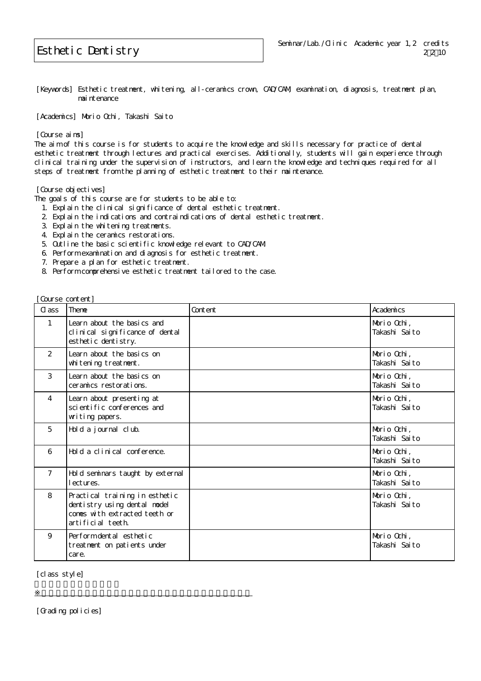## Esthetic Dentistry

[Keywords] Esthetic treatment, whitening, all-ceramics crown, CAD/CAM, examination, diagnosis, treatment plan, mai ntenance

[Academics] Morio Ochi, Takashi Saito

[Course aims]

The aim of this course is for students to acquire the knowledge and skills necessary for practice of dental esthetic treatment through lectures and practical exercises. Additionally, students will gain experience through clinical training under the supervision of instructors, and learn the knowledge and techniques required for all steps of treatment from the planning of esthetic treatment to their maintenance.

[Course objectives]

The goals of this course are for students to be able to:

- 1. Explain the clinical significance of dental esthetic treatment.
- 2. Explain the indications and contraindications of dental esthetic treatment.
- 3. Explain the whitening treatments.
- 4. Explain the ceramics restorations.
- 5. Outline the basic scientific knowledge relevant to CAD/CAM.
- 6. Perform examination and diagnosis for esthetic treatment.

※授業実施形態は、各学部(研究科)、学校の授業実施方針による

- 7. Prepare a plan for esthetic treatment.
- 8. Perform comprehensive esthetic treatment tailored to the case.

| Course content] |                                                                                                                      |         |                              |
|-----------------|----------------------------------------------------------------------------------------------------------------------|---------|------------------------------|
| C ass           | Theme                                                                                                                | Content | Academics                    |
| $\mathbf{1}$    | Learn about the basics and<br>clinical significance of dental<br>esthetic dentistry.                                 |         | Morio Ochi,<br>Takashi Saito |
| $\mathcal{P}$   | Learn about the basics on<br>whitening treatment.                                                                    |         | Morio Ochi,<br>Takashi Saito |
| 3               | Learn about the basics on<br>ceramics restorations.                                                                  |         | Morio Ochi,<br>Takashi Saito |
| $\overline{4}$  | Learn about presenting at<br>scientific conferences and<br>witing papers.                                            |         | Morio Ochi,<br>Takashi Saito |
| 5               | Hold a journal club.                                                                                                 |         | Morio Ochi,<br>Takashi Saito |
| 6               | Hold a clinical conference.                                                                                          |         | Morio Ochi,<br>Takashi Saito |
| $\overline{7}$  | Hold seminars taught by external<br>I ectures.                                                                       |         | Morio Ochi,<br>Takashi Saito |
| 8               | Practical training in esthetic<br>dentistry using dental model<br>comes with extracted teeth or<br>artificial teeth. |         | Morio Ochi,<br>Takashi Saito |
| 9               | Perform dental esthetic<br>treatment on patients under<br>care.                                                      |         | Morio Ochi,<br>Takashi Saito |

[class style]

[Grading policies]